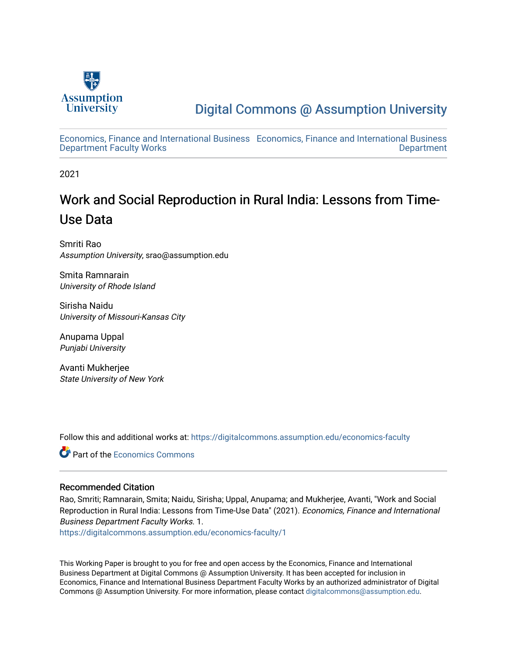

[Digital Commons @ Assumption University](https://digitalcommons.assumption.edu/) 

[Economics, Finance and International Business](https://digitalcommons.assumption.edu/economics-faculty)  [Economics, Finance and International Business](https://digitalcommons.assumption.edu/economics)  [Department Faculty Works](https://digitalcommons.assumption.edu/economics-faculty) [Department](https://digitalcommons.assumption.edu/economics) 

2021

# Work and Social Reproduction in Rural India: Lessons from Time-Use Data

Smriti Rao Assumption University, srao@assumption.edu

Smita Ramnarain University of Rhode Island

Sirisha Naidu University of Missouri-Kansas City

Anupama Uppal Punjabi University

Avanti Mukherjee State University of New York

Follow this and additional works at: [https://digitalcommons.assumption.edu/economics-faculty](https://digitalcommons.assumption.edu/economics-faculty?utm_source=digitalcommons.assumption.edu%2Feconomics-faculty%2F1&utm_medium=PDF&utm_campaign=PDFCoverPages) 

**C** Part of the [Economics Commons](http://network.bepress.com/hgg/discipline/340?utm_source=digitalcommons.assumption.edu%2Feconomics-faculty%2F1&utm_medium=PDF&utm_campaign=PDFCoverPages)

#### Recommended Citation

Rao, Smriti; Ramnarain, Smita; Naidu, Sirisha; Uppal, Anupama; and Mukherjee, Avanti, "Work and Social Reproduction in Rural India: Lessons from Time-Use Data" (2021). Economics, Finance and International Business Department Faculty Works. 1.

[https://digitalcommons.assumption.edu/economics-faculty/1](https://digitalcommons.assumption.edu/economics-faculty/1?utm_source=digitalcommons.assumption.edu%2Feconomics-faculty%2F1&utm_medium=PDF&utm_campaign=PDFCoverPages)

This Working Paper is brought to you for free and open access by the Economics, Finance and International Business Department at Digital Commons @ Assumption University. It has been accepted for inclusion in Economics, Finance and International Business Department Faculty Works by an authorized administrator of Digital Commons @ Assumption University. For more information, please contact [digitalcommons@assumption.edu](mailto:digitalcommons@assumption.edu).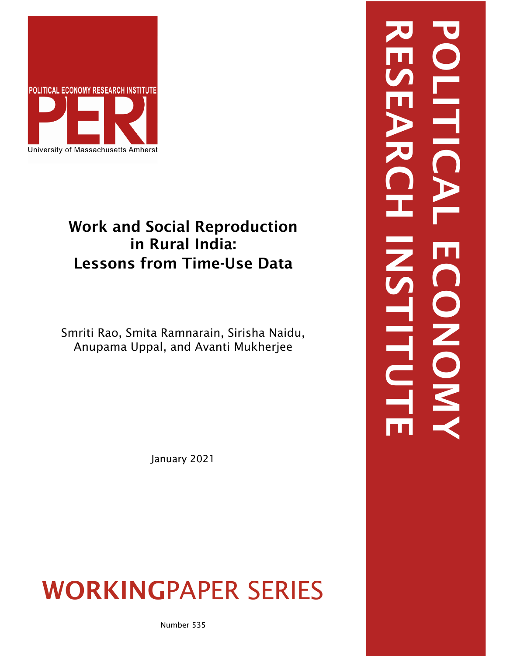

# Work and Social Reproduction in Rural India: Lessons from Time-Use Data

Smriti Rao, Smita Ramnarain, Sirisha Naidu, Anupama Uppal, and Avanti Mukherjee

January 2021

# WORKINGPAPER SERIES

RESEARCH INSTITUTE POLITICAL ECONOMYE CONOK **HITU**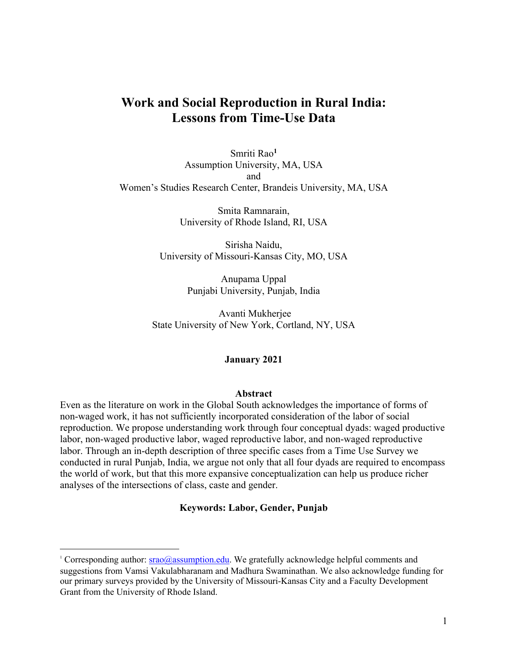## **Work and Social Reproduction in Rural India: Lessons from Time-Use Data**

Smriti Rao**<sup>1</sup>** Assumption University, MA, USA and Women's Studies Research Center, Brandeis University, MA, USA

> Smita Ramnarain, University of Rhode Island, RI, USA

Sirisha Naidu, University of Missouri-Kansas City, MO, USA

> Anupama Uppal Punjabi University, Punjab, India

Avanti Mukherjee State University of New York, Cortland, NY, USA

#### **January 2021**

#### **Abstract**

Even as the literature on work in the Global South acknowledges the importance of forms of non-waged work, it has not sufficiently incorporated consideration of the labor of social reproduction. We propose understanding work through four conceptual dyads: waged productive labor, non-waged productive labor, waged reproductive labor, and non-waged reproductive labor. Through an in-depth description of three specific cases from a Time Use Survey we conducted in rural Punjab, India, we argue not only that all four dyads are required to encompass the world of work, but that this more expansive conceptualization can help us produce richer analyses of the intersections of class, caste and gender.

#### **Keywords: Labor, Gender, Punjab**

<sup>&</sup>lt;sup>1</sup> Corresponding author:  $srao@assumption.edu$ . We gratefully acknowledge helpful comments and suggestions from Vamsi Vakulabharanam and Madhura Swaminathan. We also acknowledge funding for our primary surveys provided by the University of Missouri-Kansas City and a Faculty Development Grant from the University of Rhode Island.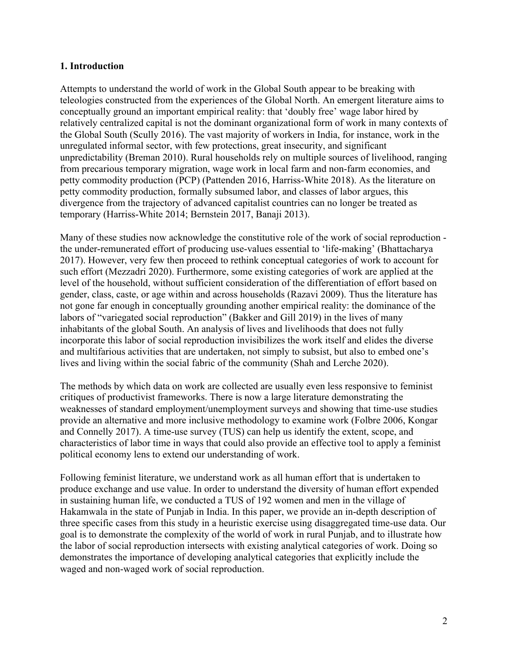#### **1. Introduction**

Attempts to understand the world of work in the Global South appear to be breaking with teleologies constructed from the experiences of the Global North. An emergent literature aims to conceptually ground an important empirical reality: that 'doubly free' wage labor hired by relatively centralized capital is not the dominant organizational form of work in many contexts of the Global South (Scully 2016). The vast majority of workers in India, for instance, work in the unregulated informal sector, with few protections, great insecurity, and significant unpredictability (Breman 2010). Rural households rely on multiple sources of livelihood, ranging from precarious temporary migration, wage work in local farm and non-farm economies, and petty commodity production (PCP) (Pattenden 2016, Harriss-White 2018). As the literature on petty commodity production, formally subsumed labor, and classes of labor argues, this divergence from the trajectory of advanced capitalist countries can no longer be treated as temporary (Harriss-White 2014; Bernstein 2017, Banaji 2013).

Many of these studies now acknowledge the constitutive role of the work of social reproduction the under-remunerated effort of producing use-values essential to 'life-making' (Bhattacharya 2017). However, very few then proceed to rethink conceptual categories of work to account for such effort (Mezzadri 2020). Furthermore, some existing categories of work are applied at the level of the household, without sufficient consideration of the differentiation of effort based on gender, class, caste, or age within and across households (Razavi 2009). Thus the literature has not gone far enough in conceptually grounding another empirical reality: the dominance of the labors of "variegated social reproduction" (Bakker and Gill 2019) in the lives of many inhabitants of the global South. An analysis of lives and livelihoods that does not fully incorporate this labor of social reproduction invisibilizes the work itself and elides the diverse and multifarious activities that are undertaken, not simply to subsist, but also to embed one's lives and living within the social fabric of the community (Shah and Lerche 2020).

The methods by which data on work are collected are usually even less responsive to feminist critiques of productivist frameworks. There is now a large literature demonstrating the weaknesses of standard employment/unemployment surveys and showing that time-use studies provide an alternative and more inclusive methodology to examine work (Folbre 2006, Kongar and Connelly 2017). A time-use survey (TUS) can help us identify the extent, scope, and characteristics of labor time in ways that could also provide an effective tool to apply a feminist political economy lens to extend our understanding of work.

Following feminist literature, we understand work as all human effort that is undertaken to produce exchange and use value. In order to understand the diversity of human effort expended in sustaining human life, we conducted a TUS of 192 women and men in the village of Hakamwala in the state of Punjab in India. In this paper, we provide an in-depth description of three specific cases from this study in a heuristic exercise using disaggregated time-use data. Our goal is to demonstrate the complexity of the world of work in rural Punjab, and to illustrate how the labor of social reproduction intersects with existing analytical categories of work. Doing so demonstrates the importance of developing analytical categories that explicitly include the waged and non-waged work of social reproduction.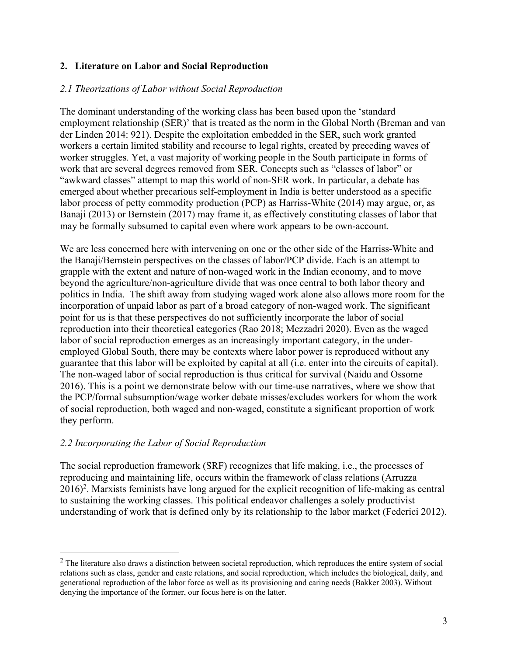#### **2. Literature on Labor and Social Reproduction**

#### *2.1 Theorizations of Labor without Social Reproduction*

The dominant understanding of the working class has been based upon the 'standard employment relationship (SER)' that is treated as the norm in the Global North (Breman and van der Linden 2014: 921). Despite the exploitation embedded in the SER, such work granted workers a certain limited stability and recourse to legal rights, created by preceding waves of worker struggles. Yet, a vast majority of working people in the South participate in forms of work that are several degrees removed from SER. Concepts such as "classes of labor" or "awkward classes" attempt to map this world of non-SER work. In particular, a debate has emerged about whether precarious self-employment in India is better understood as a specific labor process of petty commodity production (PCP) as Harriss-White (2014) may argue, or, as Banaji (2013) or Bernstein (2017) may frame it, as effectively constituting classes of labor that may be formally subsumed to capital even where work appears to be own-account.

We are less concerned here with intervening on one or the other side of the Harriss-White and the Banaji/Bernstein perspectives on the classes of labor/PCP divide. Each is an attempt to grapple with the extent and nature of non-waged work in the Indian economy, and to move beyond the agriculture/non-agriculture divide that was once central to both labor theory and politics in India. The shift away from studying waged work alone also allows more room for the incorporation of unpaid labor as part of a broad category of non-waged work. The significant point for us is that these perspectives do not sufficiently incorporate the labor of social reproduction into their theoretical categories (Rao 2018; Mezzadri 2020). Even as the waged labor of social reproduction emerges as an increasingly important category, in the underemployed Global South, there may be contexts where labor power is reproduced without any guarantee that this labor will be exploited by capital at all (i.e. enter into the circuits of capital). The non-waged labor of social reproduction is thus critical for survival (Naidu and Ossome 2016). This is a point we demonstrate below with our time-use narratives, where we show that the PCP/formal subsumption/wage worker debate misses/excludes workers for whom the work of social reproduction, both waged and non-waged, constitute a significant proportion of work they perform.

#### *2.2 Incorporating the Labor of Social Reproduction*

The social reproduction framework (SRF) recognizes that life making, i.e., the processes of reproducing and maintaining life, occurs within the framework of class relations (Arruzza 2016)<sup>2</sup>. Marxists feminists have long argued for the explicit recognition of life-making as central to sustaining the working classes. This political endeavor challenges a solely productivist understanding of work that is defined only by its relationship to the labor market (Federici 2012).

 $2$  The literature also draws a distinction between societal reproduction, which reproduces the entire system of social relations such as class, gender and caste relations, and social reproduction, which includes the biological, daily, and generational reproduction of the labor force as well as its provisioning and caring needs (Bakker 2003). Without denying the importance of the former, our focus here is on the latter.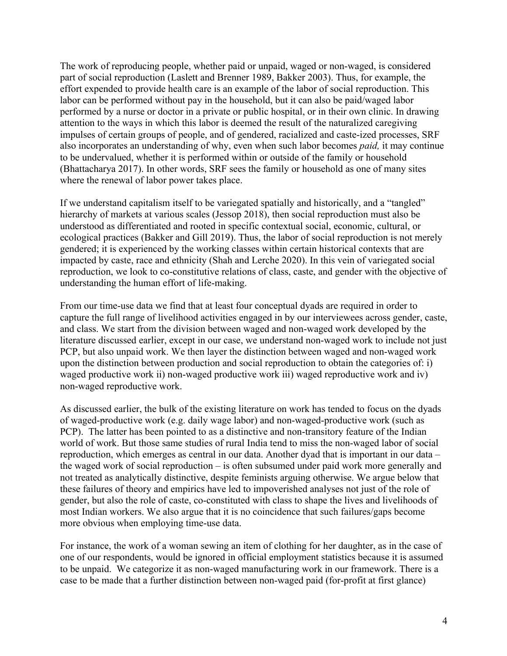The work of reproducing people, whether paid or unpaid, waged or non-waged, is considered part of social reproduction (Laslett and Brenner 1989, Bakker 2003). Thus, for example, the effort expended to provide health care is an example of the labor of social reproduction. This labor can be performed without pay in the household, but it can also be paid/waged labor performed by a nurse or doctor in a private or public hospital, or in their own clinic. In drawing attention to the ways in which this labor is deemed the result of the naturalized caregiving impulses of certain groups of people, and of gendered, racialized and caste-ized processes, SRF also incorporates an understanding of why, even when such labor becomes *paid,* it may continue to be undervalued, whether it is performed within or outside of the family or household (Bhattacharya 2017). In other words, SRF sees the family or household as one of many sites where the renewal of labor power takes place.

If we understand capitalism itself to be variegated spatially and historically, and a "tangled" hierarchy of markets at various scales (Jessop 2018), then social reproduction must also be understood as differentiated and rooted in specific contextual social, economic, cultural, or ecological practices (Bakker and Gill 2019). Thus, the labor of social reproduction is not merely gendered; it is experienced by the working classes within certain historical contexts that are impacted by caste, race and ethnicity (Shah and Lerche 2020). In this vein of variegated social reproduction, we look to co-constitutive relations of class, caste, and gender with the objective of understanding the human effort of life-making.

From our time-use data we find that at least four conceptual dyads are required in order to capture the full range of livelihood activities engaged in by our interviewees across gender, caste, and class. We start from the division between waged and non-waged work developed by the literature discussed earlier, except in our case, we understand non-waged work to include not just PCP, but also unpaid work. We then layer the distinction between waged and non-waged work upon the distinction between production and social reproduction to obtain the categories of: i) waged productive work ii) non-waged productive work iii) waged reproductive work and iv) non-waged reproductive work.

As discussed earlier, the bulk of the existing literature on work has tended to focus on the dyads of waged-productive work (e.g. daily wage labor) and non-waged-productive work (such as PCP). The latter has been pointed to as a distinctive and non-transitory feature of the Indian world of work. But those same studies of rural India tend to miss the non-waged labor of social reproduction, which emerges as central in our data. Another dyad that is important in our data – the waged work of social reproduction – is often subsumed under paid work more generally and not treated as analytically distinctive, despite feminists arguing otherwise. We argue below that these failures of theory and empirics have led to impoverished analyses not just of the role of gender, but also the role of caste, co-constituted with class to shape the lives and livelihoods of most Indian workers. We also argue that it is no coincidence that such failures/gaps become more obvious when employing time-use data.

For instance, the work of a woman sewing an item of clothing for her daughter, as in the case of one of our respondents, would be ignored in official employment statistics because it is assumed to be unpaid. We categorize it as non-waged manufacturing work in our framework. There is a case to be made that a further distinction between non-waged paid (for-profit at first glance)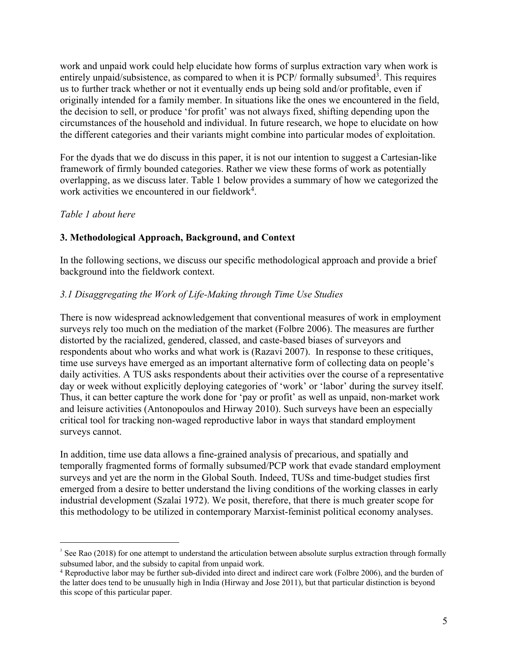work and unpaid work could help elucidate how forms of surplus extraction vary when work is entirely unpaid/subsistence, as compared to when it is PCP/ formally subsumed<sup>3</sup>. This requires us to further track whether or not it eventually ends up being sold and/or profitable, even if originally intended for a family member. In situations like the ones we encountered in the field, the decision to sell, or produce 'for profit' was not always fixed, shifting depending upon the circumstances of the household and individual. In future research, we hope to elucidate on how the different categories and their variants might combine into particular modes of exploitation.

For the dyads that we do discuss in this paper, it is not our intention to suggest a Cartesian-like framework of firmly bounded categories. Rather we view these forms of work as potentially overlapping, as we discuss later. Table 1 below provides a summary of how we categorized the work activities we encountered in our fieldwork<sup>4</sup>.

#### *Table 1 about here*

#### **3. Methodological Approach, Background, and Context**

In the following sections, we discuss our specific methodological approach and provide a brief background into the fieldwork context.

#### *3.1 Disaggregating the Work of Life-Making through Time Use Studies*

There is now widespread acknowledgement that conventional measures of work in employment surveys rely too much on the mediation of the market (Folbre 2006). The measures are further distorted by the racialized, gendered, classed, and caste-based biases of surveyors and respondents about who works and what work is (Razavi 2007). In response to these critiques, time use surveys have emerged as an important alternative form of collecting data on people's daily activities. A TUS asks respondents about their activities over the course of a representative day or week without explicitly deploying categories of 'work' or 'labor' during the survey itself. Thus, it can better capture the work done for 'pay or profit' as well as unpaid, non-market work and leisure activities (Antonopoulos and Hirway 2010). Such surveys have been an especially critical tool for tracking non-waged reproductive labor in ways that standard employment surveys cannot.

In addition, time use data allows a fine-grained analysis of precarious, and spatially and temporally fragmented forms of formally subsumed/PCP work that evade standard employment surveys and yet are the norm in the Global South. Indeed, TUSs and time-budget studies first emerged from a desire to better understand the living conditions of the working classes in early industrial development (Szalai 1972). We posit, therefore, that there is much greater scope for this methodology to be utilized in contemporary Marxist-feminist political economy analyses.

 $3$  See Rao (2018) for one attempt to understand the articulation between absolute surplus extraction through formally subsumed labor, and the subsidy to capital from unpaid work.

<sup>4</sup> Reproductive labor may be further sub-divided into direct and indirect care work (Folbre 2006), and the burden of the latter does tend to be unusually high in India (Hirway and Jose 2011), but that particular distinction is beyond this scope of this particular paper.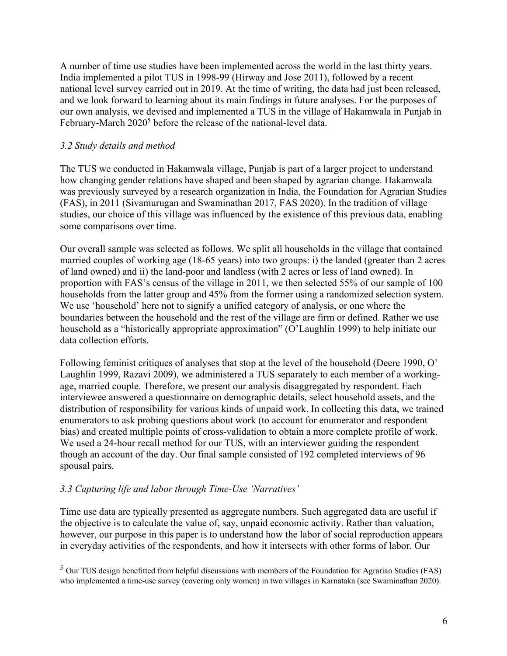A number of time use studies have been implemented across the world in the last thirty years. India implemented a pilot TUS in 1998-99 (Hirway and Jose 2011), followed by a recent national level survey carried out in 2019. At the time of writing, the data had just been released, and we look forward to learning about its main findings in future analyses. For the purposes of our own analysis, we devised and implemented a TUS in the village of Hakamwala in Punjab in February-March 2020<sup>5</sup> before the release of the national-level data.

#### *3.2 Study details and method*

The TUS we conducted in Hakamwala village, Punjab is part of a larger project to understand how changing gender relations have shaped and been shaped by agrarian change. Hakamwala was previously surveyed by a research organization in India, the Foundation for Agrarian Studies (FAS), in 2011 (Sivamurugan and Swaminathan 2017, FAS 2020). In the tradition of village studies, our choice of this village was influenced by the existence of this previous data, enabling some comparisons over time.

Our overall sample was selected as follows. We split all households in the village that contained married couples of working age (18-65 years) into two groups: i) the landed (greater than 2 acres of land owned) and ii) the land-poor and landless (with 2 acres or less of land owned). In proportion with FAS's census of the village in 2011, we then selected 55% of our sample of 100 households from the latter group and 45% from the former using a randomized selection system. We use 'household' here not to signify a unified category of analysis, or one where the boundaries between the household and the rest of the village are firm or defined. Rather we use household as a "historically appropriate approximation" (O'Laughlin 1999) to help initiate our data collection efforts.

Following feminist critiques of analyses that stop at the level of the household (Deere 1990, O' Laughlin 1999, Razavi 2009), we administered a TUS separately to each member of a workingage, married couple. Therefore, we present our analysis disaggregated by respondent. Each interviewee answered a questionnaire on demographic details, select household assets, and the distribution of responsibility for various kinds of unpaid work. In collecting this data, we trained enumerators to ask probing questions about work (to account for enumerator and respondent bias) and created multiple points of cross-validation to obtain a more complete profile of work. We used a 24-hour recall method for our TUS, with an interviewer guiding the respondent though an account of the day. Our final sample consisted of 192 completed interviews of 96 spousal pairs.

#### *3.3 Capturing life and labor through Time-Use 'Narratives'*

Time use data are typically presented as aggregate numbers. Such aggregated data are useful if the objective is to calculate the value of, say, unpaid economic activity. Rather than valuation, however, our purpose in this paper is to understand how the labor of social reproduction appears in everyday activities of the respondents, and how it intersects with other forms of labor. Our

<sup>5</sup> Our TUS design benefitted from helpful discussions with members of the Foundation for Agrarian Studies (FAS) who implemented a time-use survey (covering only women) in two villages in Karnataka (see Swaminathan 2020).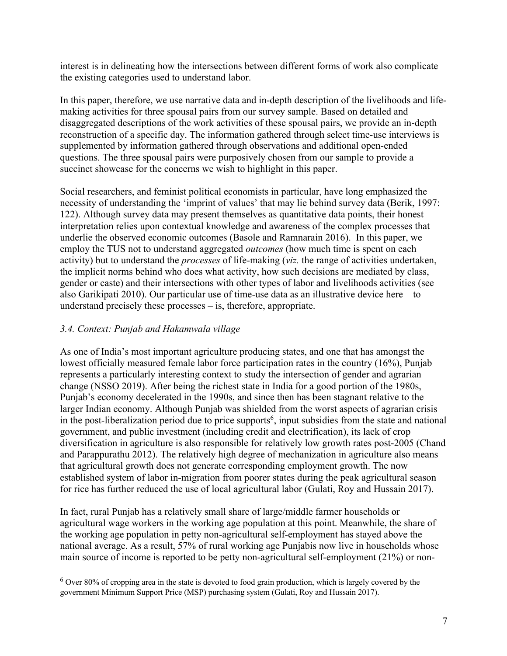interest is in delineating how the intersections between different forms of work also complicate the existing categories used to understand labor.

In this paper, therefore, we use narrative data and in-depth description of the livelihoods and lifemaking activities for three spousal pairs from our survey sample. Based on detailed and disaggregated descriptions of the work activities of these spousal pairs, we provide an in-depth reconstruction of a specific day. The information gathered through select time-use interviews is supplemented by information gathered through observations and additional open-ended questions. The three spousal pairs were purposively chosen from our sample to provide a succinct showcase for the concerns we wish to highlight in this paper.

Social researchers, and feminist political economists in particular, have long emphasized the necessity of understanding the 'imprint of values' that may lie behind survey data (Berik, 1997: 122). Although survey data may present themselves as quantitative data points, their honest interpretation relies upon contextual knowledge and awareness of the complex processes that underlie the observed economic outcomes (Basole and Ramnarain 2016). In this paper, we employ the TUS not to understand aggregated *outcomes* (how much time is spent on each activity) but to understand the *processes* of life-making (*viz.* the range of activities undertaken, the implicit norms behind who does what activity, how such decisions are mediated by class, gender or caste) and their intersections with other types of labor and livelihoods activities (see also Garikipati 2010). Our particular use of time-use data as an illustrative device here – to understand precisely these processes – is, therefore, appropriate.

#### *3.4. Context: Punjab and Hakamwala village*

As one of India's most important agriculture producing states, and one that has amongst the lowest officially measured female labor force participation rates in the country (16%), Punjab represents a particularly interesting context to study the intersection of gender and agrarian change (NSSO 2019). After being the richest state in India for a good portion of the 1980s, Punjab's economy decelerated in the 1990s, and since then has been stagnant relative to the larger Indian economy. Although Punjab was shielded from the worst aspects of agrarian crisis in the post-liberalization period due to price supports<sup>6</sup>, input subsidies from the state and national government, and public investment (including credit and electrification), its lack of crop diversification in agriculture is also responsible for relatively low growth rates post-2005 (Chand and Parappurathu 2012). The relatively high degree of mechanization in agriculture also means that agricultural growth does not generate corresponding employment growth. The now established system of labor in-migration from poorer states during the peak agricultural season for rice has further reduced the use of local agricultural labor (Gulati, Roy and Hussain 2017).

In fact, rural Punjab has a relatively small share of large/middle farmer households or agricultural wage workers in the working age population at this point. Meanwhile, the share of the working age population in petty non-agricultural self-employment has stayed above the national average. As a result, 57% of rural working age Punjabis now live in households whose main source of income is reported to be petty non-agricultural self-employment (21%) or non-

<sup>6</sup> Over 80% of cropping area in the state is devoted to food grain production, which is largely covered by the government Minimum Support Price (MSP) purchasing system (Gulati, Roy and Hussain 2017).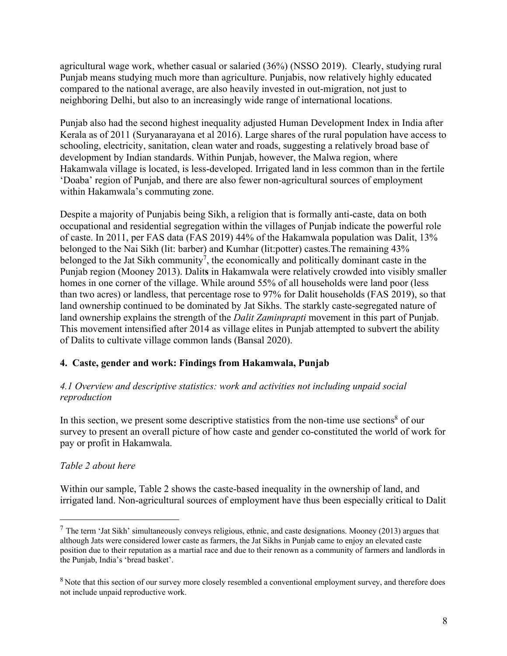agricultural wage work, whether casual or salaried (36%) (NSSO 2019). Clearly, studying rural Punjab means studying much more than agriculture. Punjabis, now relatively highly educated compared to the national average, are also heavily invested in out-migration, not just to neighboring Delhi, but also to an increasingly wide range of international locations.

Punjab also had the second highest inequality adjusted Human Development Index in India after Kerala as of 2011 (Suryanarayana et al 2016). Large shares of the rural population have access to schooling, electricity, sanitation, clean water and roads, suggesting a relatively broad base of development by Indian standards. Within Punjab, however, the Malwa region, where Hakamwala village is located, is less-developed. Irrigated land in less common than in the fertile 'Doaba' region of Punjab, and there are also fewer non-agricultural sources of employment within Hakamwala's commuting zone.

Despite a majority of Punjabis being Sikh, a religion that is formally anti-caste, data on both occupational and residential segregation within the villages of Punjab indicate the powerful role of caste. In 2011, per FAS data (FAS 2019) 44% of the Hakamwala population was Dalit, 13% belonged to the Nai Sikh (lit: barber) and Kumhar (lit:potter) castes.The remaining 43% belonged to the Jat Sikh community<sup>7</sup>, the economically and politically dominant caste in the Punjab region (Mooney 2013). Dalit**s** in Hakamwala were relatively crowded into visibly smaller homes in one corner of the village. While around 55% of all households were land poor (less than two acres) or landless, that percentage rose to 97% for Dalit households (FAS 2019), so that land ownership continued to be dominated by Jat Sikhs. The starkly caste-segregated nature of land ownership explains the strength of the *Dalit Zaminprapti* movement in this part of Punjab. This movement intensified after 2014 as village elites in Punjab attempted to subvert the ability of Dalits to cultivate village common lands (Bansal 2020).

#### **4. Caste, gender and work: Findings from Hakamwala, Punjab**

#### *4.1 Overview and descriptive statistics: work and activities not including unpaid social reproduction*

In this section, we present some descriptive statistics from the non-time use sections $8$  of our survey to present an overall picture of how caste and gender co-constituted the world of work for pay or profit in Hakamwala.

#### *Table 2 about here*

Within our sample, Table 2 shows the caste-based inequality in the ownership of land, and irrigated land. Non-agricultural sources of employment have thus been especially critical to Dalit

 $<sup>7</sup>$  The term 'Jat Sikh' simultaneously conveys religious, ethnic, and caste designations. Mooney (2013) argues that</sup> although Jats were considered lower caste as farmers, the Jat Sikhs in Punjab came to enjoy an elevated caste position due to their reputation as a martial race and due to their renown as a community of farmers and landlords in the Punjab, India's 'bread basket'.

<sup>&</sup>lt;sup>8</sup> Note that this section of our survey more closely resembled a conventional employment survey, and therefore does not include unpaid reproductive work.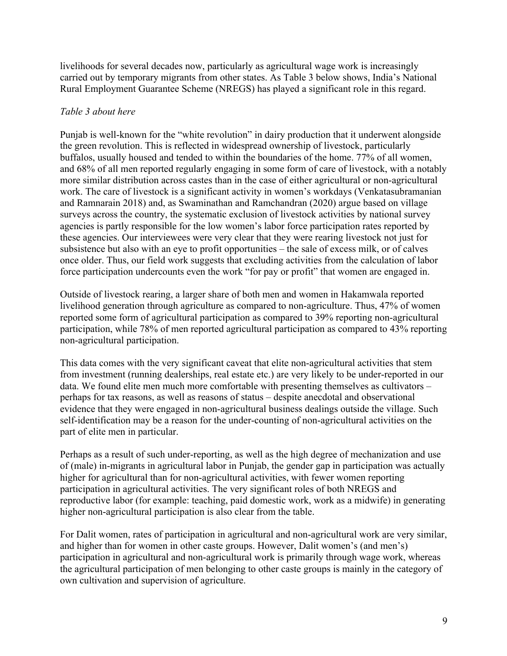livelihoods for several decades now, particularly as agricultural wage work is increasingly carried out by temporary migrants from other states. As Table 3 below shows, India's National Rural Employment Guarantee Scheme (NREGS) has played a significant role in this regard.

#### *Table 3 about here*

Punjab is well-known for the "white revolution" in dairy production that it underwent alongside the green revolution. This is reflected in widespread ownership of livestock, particularly buffalos, usually housed and tended to within the boundaries of the home. 77% of all women, and 68% of all men reported regularly engaging in some form of care of livestock, with a notably more similar distribution across castes than in the case of either agricultural or non-agricultural work. The care of livestock is a significant activity in women's workdays (Venkatasubramanian and Ramnarain 2018) and, as Swaminathan and Ramchandran (2020) argue based on village surveys across the country, the systematic exclusion of livestock activities by national survey agencies is partly responsible for the low women's labor force participation rates reported by these agencies. Our interviewees were very clear that they were rearing livestock not just for subsistence but also with an eye to profit opportunities – the sale of excess milk, or of calves once older. Thus, our field work suggests that excluding activities from the calculation of labor force participation undercounts even the work "for pay or profit" that women are engaged in.

Outside of livestock rearing, a larger share of both men and women in Hakamwala reported livelihood generation through agriculture as compared to non-agriculture. Thus, 47% of women reported some form of agricultural participation as compared to 39% reporting non-agricultural participation, while 78% of men reported agricultural participation as compared to 43% reporting non-agricultural participation.

This data comes with the very significant caveat that elite non-agricultural activities that stem from investment (running dealerships, real estate etc.) are very likely to be under-reported in our data. We found elite men much more comfortable with presenting themselves as cultivators – perhaps for tax reasons, as well as reasons of status – despite anecdotal and observational evidence that they were engaged in non-agricultural business dealings outside the village. Such self-identification may be a reason for the under-counting of non-agricultural activities on the part of elite men in particular.

Perhaps as a result of such under-reporting, as well as the high degree of mechanization and use of (male) in-migrants in agricultural labor in Punjab, the gender gap in participation was actually higher for agricultural than for non-agricultural activities, with fewer women reporting participation in agricultural activities. The very significant roles of both NREGS and reproductive labor (for example: teaching, paid domestic work, work as a midwife) in generating higher non-agricultural participation is also clear from the table.

For Dalit women, rates of participation in agricultural and non-agricultural work are very similar, and higher than for women in other caste groups. However, Dalit women's (and men's) participation in agricultural and non-agricultural work is primarily through wage work, whereas the agricultural participation of men belonging to other caste groups is mainly in the category of own cultivation and supervision of agriculture.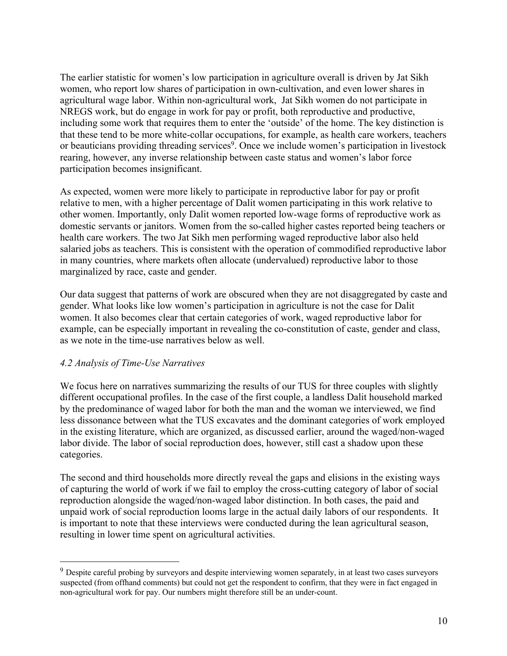The earlier statistic for women's low participation in agriculture overall is driven by Jat Sikh women, who report low shares of participation in own-cultivation, and even lower shares in agricultural wage labor. Within non-agricultural work, Jat Sikh women do not participate in NREGS work, but do engage in work for pay or profit, both reproductive and productive, including some work that requires them to enter the 'outside' of the home. The key distinction is that these tend to be more white-collar occupations, for example, as health care workers, teachers or beauticians providing threading services<sup>9</sup>. Once we include women's participation in livestock rearing, however, any inverse relationship between caste status and women's labor force participation becomes insignificant.

As expected, women were more likely to participate in reproductive labor for pay or profit relative to men, with a higher percentage of Dalit women participating in this work relative to other women. Importantly, only Dalit women reported low-wage forms of reproductive work as domestic servants or janitors. Women from the so-called higher castes reported being teachers or health care workers. The two Jat Sikh men performing waged reproductive labor also held salaried jobs as teachers. This is consistent with the operation of commodified reproductive labor in many countries, where markets often allocate (undervalued) reproductive labor to those marginalized by race, caste and gender.

Our data suggest that patterns of work are obscured when they are not disaggregated by caste and gender. What looks like low women's participation in agriculture is not the case for Dalit women. It also becomes clear that certain categories of work, waged reproductive labor for example, can be especially important in revealing the co-constitution of caste, gender and class, as we note in the time-use narratives below as well.

#### *4.2 Analysis of Time-Use Narratives*

We focus here on narratives summarizing the results of our TUS for three couples with slightly different occupational profiles. In the case of the first couple, a landless Dalit household marked by the predominance of waged labor for both the man and the woman we interviewed, we find less dissonance between what the TUS excavates and the dominant categories of work employed in the existing literature, which are organized, as discussed earlier, around the waged/non-waged labor divide. The labor of social reproduction does, however, still cast a shadow upon these categories.

The second and third households more directly reveal the gaps and elisions in the existing ways of capturing the world of work if we fail to employ the cross-cutting category of labor of social reproduction alongside the waged/non-waged labor distinction. In both cases, the paid and unpaid work of social reproduction looms large in the actual daily labors of our respondents. It is important to note that these interviews were conducted during the lean agricultural season, resulting in lower time spent on agricultural activities.

<sup>&</sup>lt;sup>9</sup> Despite careful probing by surveyors and despite interviewing women separately, in at least two cases surveyors suspected (from offhand comments) but could not get the respondent to confirm, that they were in fact engaged in non-agricultural work for pay. Our numbers might therefore still be an under-count.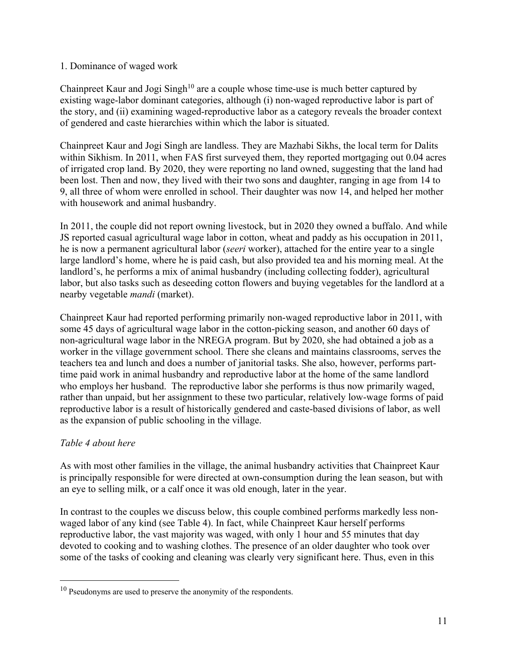#### 1. Dominance of waged work

Chainpreet Kaur and Jogi Singh<sup>10</sup> are a couple whose time-use is much better captured by existing wage-labor dominant categories, although (i) non-waged reproductive labor is part of the story, and (ii) examining waged-reproductive labor as a category reveals the broader context of gendered and caste hierarchies within which the labor is situated.

Chainpreet Kaur and Jogi Singh are landless. They are Mazhabi Sikhs, the local term for Dalits within Sikhism. In 2011, when FAS first surveyed them, they reported mortgaging out 0.04 acres of irrigated crop land. By 2020, they were reporting no land owned, suggesting that the land had been lost. Then and now, they lived with their two sons and daughter, ranging in age from 14 to 9, all three of whom were enrolled in school. Their daughter was now 14, and helped her mother with housework and animal husbandry.

In 2011, the couple did not report owning livestock, but in 2020 they owned a buffalo. And while JS reported casual agricultural wage labor in cotton, wheat and paddy as his occupation in 2011, he is now a permanent agricultural labor (*seeri* worker), attached for the entire year to a single large landlord's home, where he is paid cash, but also provided tea and his morning meal. At the landlord's, he performs a mix of animal husbandry (including collecting fodder), agricultural labor, but also tasks such as deseeding cotton flowers and buying vegetables for the landlord at a nearby vegetable *mandi* (market).

Chainpreet Kaur had reported performing primarily non-waged reproductive labor in 2011, with some 45 days of agricultural wage labor in the cotton-picking season, and another 60 days of non-agricultural wage labor in the NREGA program. But by 2020, she had obtained a job as a worker in the village government school. There she cleans and maintains classrooms, serves the teachers tea and lunch and does a number of janitorial tasks. She also, however, performs parttime paid work in animal husbandry and reproductive labor at the home of the same landlord who employs her husband. The reproductive labor she performs is thus now primarily waged, rather than unpaid, but her assignment to these two particular, relatively low-wage forms of paid reproductive labor is a result of historically gendered and caste-based divisions of labor, as well as the expansion of public schooling in the village.

#### *Table 4 about here*

As with most other families in the village, the animal husbandry activities that Chainpreet Kaur is principally responsible for were directed at own-consumption during the lean season, but with an eye to selling milk, or a calf once it was old enough, later in the year.

In contrast to the couples we discuss below, this couple combined performs markedly less nonwaged labor of any kind (see Table 4). In fact, while Chainpreet Kaur herself performs reproductive labor, the vast majority was waged, with only 1 hour and 55 minutes that day devoted to cooking and to washing clothes. The presence of an older daughter who took over some of the tasks of cooking and cleaning was clearly very significant here. Thus, even in this

 $10$  Pseudonyms are used to preserve the anonymity of the respondents.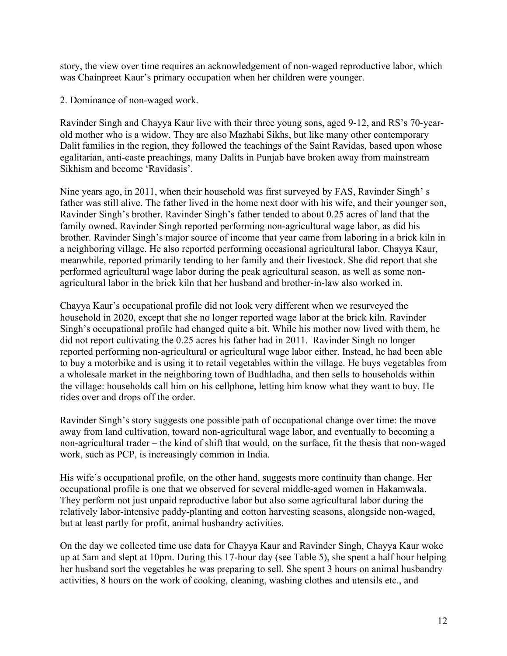story, the view over time requires an acknowledgement of non-waged reproductive labor, which was Chainpreet Kaur's primary occupation when her children were younger.

2. Dominance of non-waged work.

Ravinder Singh and Chayya Kaur live with their three young sons, aged 9-12, and RS's 70-yearold mother who is a widow. They are also Mazhabi Sikhs, but like many other contemporary Dalit families in the region, they followed the teachings of the Saint Ravidas, based upon whose egalitarian, anti-caste preachings, many Dalits in Punjab have broken away from mainstream Sikhism and become 'Ravidasis'.

Nine years ago, in 2011, when their household was first surveyed by FAS, Ravinder Singh' s father was still alive. The father lived in the home next door with his wife, and their younger son, Ravinder Singh's brother. Ravinder Singh's father tended to about 0.25 acres of land that the family owned. Ravinder Singh reported performing non-agricultural wage labor, as did his brother. Ravinder Singh's major source of income that year came from laboring in a brick kiln in a neighboring village. He also reported performing occasional agricultural labor. Chayya Kaur, meanwhile, reported primarily tending to her family and their livestock. She did report that she performed agricultural wage labor during the peak agricultural season, as well as some nonagricultural labor in the brick kiln that her husband and brother-in-law also worked in.

Chayya Kaur's occupational profile did not look very different when we resurveyed the household in 2020, except that she no longer reported wage labor at the brick kiln. Ravinder Singh's occupational profile had changed quite a bit. While his mother now lived with them, he did not report cultivating the 0.25 acres his father had in 2011. Ravinder Singh no longer reported performing non-agricultural or agricultural wage labor either. Instead, he had been able to buy a motorbike and is using it to retail vegetables within the village. He buys vegetables from a wholesale market in the neighboring town of Budhladha, and then sells to households within the village: households call him on his cellphone, letting him know what they want to buy. He rides over and drops off the order.

Ravinder Singh's story suggests one possible path of occupational change over time: the move away from land cultivation, toward non-agricultural wage labor, and eventually to becoming a non-agricultural trader – the kind of shift that would, on the surface, fit the thesis that non-waged work, such as PCP, is increasingly common in India.

His wife's occupational profile, on the other hand, suggests more continuity than change. Her occupational profile is one that we observed for several middle-aged women in Hakamwala. They perform not just unpaid reproductive labor but also some agricultural labor during the relatively labor-intensive paddy-planting and cotton harvesting seasons, alongside non-waged, but at least partly for profit, animal husbandry activities.

On the day we collected time use data for Chayya Kaur and Ravinder Singh, Chayya Kaur woke up at 5am and slept at 10pm. During this 17-hour day (see Table 5), she spent a half hour helping her husband sort the vegetables he was preparing to sell. She spent 3 hours on animal husbandry activities, 8 hours on the work of cooking, cleaning, washing clothes and utensils etc., and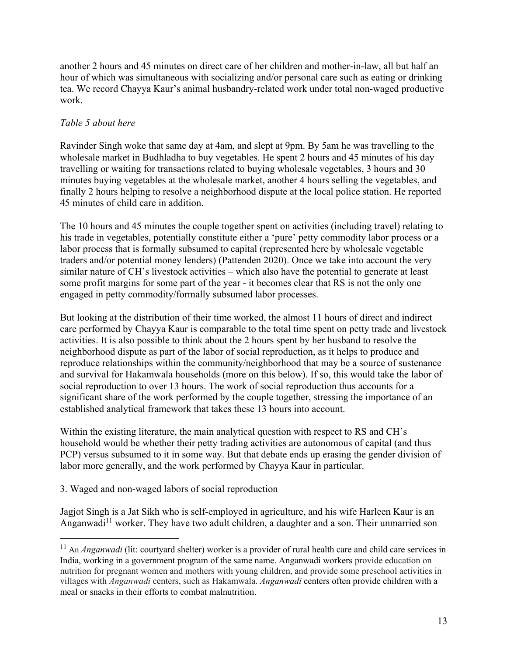another 2 hours and 45 minutes on direct care of her children and mother-in-law, all but half an hour of which was simultaneous with socializing and/or personal care such as eating or drinking tea. We record Chayya Kaur's animal husbandry-related work under total non-waged productive work.

#### *Table 5 about here*

Ravinder Singh woke that same day at 4am, and slept at 9pm. By 5am he was travelling to the wholesale market in Budhladha to buy vegetables. He spent 2 hours and 45 minutes of his day travelling or waiting for transactions related to buying wholesale vegetables, 3 hours and 30 minutes buying vegetables at the wholesale market, another 4 hours selling the vegetables, and finally 2 hours helping to resolve a neighborhood dispute at the local police station. He reported 45 minutes of child care in addition.

The 10 hours and 45 minutes the couple together spent on activities (including travel) relating to his trade in vegetables, potentially constitute either a 'pure' petty commodity labor process or a labor process that is formally subsumed to capital (represented here by wholesale vegetable traders and/or potential money lenders) (Pattenden 2020). Once we take into account the very similar nature of CH's livestock activities – which also have the potential to generate at least some profit margins for some part of the year - it becomes clear that RS is not the only one engaged in petty commodity/formally subsumed labor processes.

But looking at the distribution of their time worked, the almost 11 hours of direct and indirect care performed by Chayya Kaur is comparable to the total time spent on petty trade and livestock activities. It is also possible to think about the 2 hours spent by her husband to resolve the neighborhood dispute as part of the labor of social reproduction, as it helps to produce and reproduce relationships within the community/neighborhood that may be a source of sustenance and survival for Hakamwala households (more on this below). If so, this would take the labor of social reproduction to over 13 hours. The work of social reproduction thus accounts for a significant share of the work performed by the couple together, stressing the importance of an established analytical framework that takes these 13 hours into account.

Within the existing literature, the main analytical question with respect to RS and CH's household would be whether their petty trading activities are autonomous of capital (and thus PCP) versus subsumed to it in some way. But that debate ends up erasing the gender division of labor more generally, and the work performed by Chayya Kaur in particular.

3. Waged and non-waged labors of social reproduction

Jagjot Singh is a Jat Sikh who is self-employed in agriculture, and his wife Harleen Kaur is an Anganwadi<sup>11</sup> worker. They have two adult children, a daughter and a son. Their unmarried son

<sup>&</sup>lt;sup>11</sup> An *Anganwadi* (lit: courtyard shelter) worker is a provider of rural health care and child care services in India, working in a government program of the same name. Anganwadi workers provide education on nutrition for pregnant women and mothers with young children, and provide some preschool activities in villages with *Anganwadi* centers, such as Hakamwala. *Anganwadi* centers often provide children with a meal or snacks in their efforts to combat malnutrition.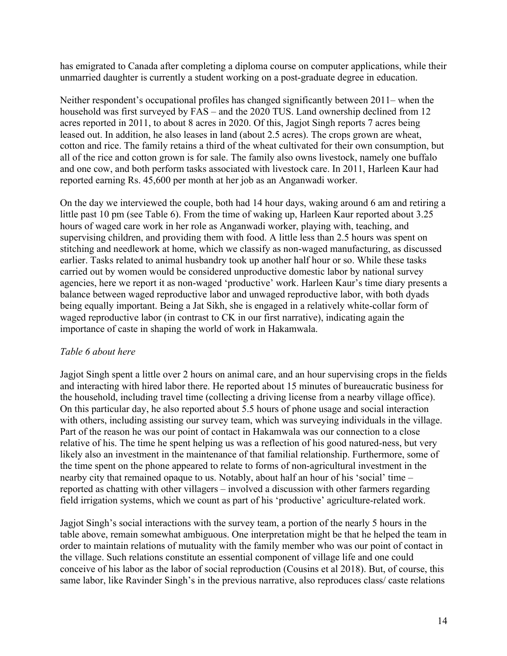has emigrated to Canada after completing a diploma course on computer applications, while their unmarried daughter is currently a student working on a post-graduate degree in education.

Neither respondent's occupational profiles has changed significantly between 2011– when the household was first surveyed by FAS – and the 2020 TUS. Land ownership declined from 12 acres reported in 2011, to about 8 acres in 2020. Of this, Jagjot Singh reports 7 acres being leased out. In addition, he also leases in land (about 2.5 acres). The crops grown are wheat, cotton and rice. The family retains a third of the wheat cultivated for their own consumption, but all of the rice and cotton grown is for sale. The family also owns livestock, namely one buffalo and one cow, and both perform tasks associated with livestock care. In 2011, Harleen Kaur had reported earning Rs. 45,600 per month at her job as an Anganwadi worker.

On the day we interviewed the couple, both had 14 hour days, waking around 6 am and retiring a little past 10 pm (see Table 6). From the time of waking up, Harleen Kaur reported about 3.25 hours of waged care work in her role as Anganwadi worker, playing with, teaching, and supervising children, and providing them with food. A little less than 2.5 hours was spent on stitching and needlework at home, which we classify as non-waged manufacturing, as discussed earlier. Tasks related to animal husbandry took up another half hour or so. While these tasks carried out by women would be considered unproductive domestic labor by national survey agencies, here we report it as non-waged 'productive' work. Harleen Kaur's time diary presents a balance between waged reproductive labor and unwaged reproductive labor, with both dyads being equally important. Being a Jat Sikh, she is engaged in a relatively white-collar form of waged reproductive labor (in contrast to CK in our first narrative), indicating again the importance of caste in shaping the world of work in Hakamwala.

#### *Table 6 about here*

Jagjot Singh spent a little over 2 hours on animal care, and an hour supervising crops in the fields and interacting with hired labor there. He reported about 15 minutes of bureaucratic business for the household, including travel time (collecting a driving license from a nearby village office). On this particular day, he also reported about 5.5 hours of phone usage and social interaction with others, including assisting our survey team, which was surveying individuals in the village. Part of the reason he was our point of contact in Hakamwala was our connection to a close relative of his. The time he spent helping us was a reflection of his good natured-ness, but very likely also an investment in the maintenance of that familial relationship. Furthermore, some of the time spent on the phone appeared to relate to forms of non-agricultural investment in the nearby city that remained opaque to us. Notably, about half an hour of his 'social' time – reported as chatting with other villagers – involved a discussion with other farmers regarding field irrigation systems, which we count as part of his 'productive' agriculture-related work.

Jagjot Singh's social interactions with the survey team, a portion of the nearly 5 hours in the table above, remain somewhat ambiguous. One interpretation might be that he helped the team in order to maintain relations of mutuality with the family member who was our point of contact in the village. Such relations constitute an essential component of village life and one could conceive of his labor as the labor of social reproduction (Cousins et al 2018). But, of course, this same labor, like Ravinder Singh's in the previous narrative, also reproduces class/ caste relations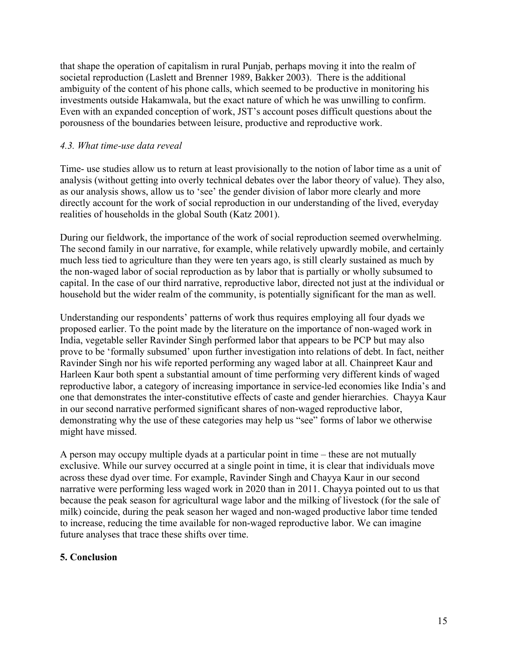that shape the operation of capitalism in rural Punjab, perhaps moving it into the realm of societal reproduction (Laslett and Brenner 1989, Bakker 2003). There is the additional ambiguity of the content of his phone calls, which seemed to be productive in monitoring his investments outside Hakamwala, but the exact nature of which he was unwilling to confirm. Even with an expanded conception of work, JST's account poses difficult questions about the porousness of the boundaries between leisure, productive and reproductive work.

#### *4.3. What time-use data reveal*

Time- use studies allow us to return at least provisionally to the notion of labor time as a unit of analysis (without getting into overly technical debates over the labor theory of value). They also, as our analysis shows, allow us to 'see' the gender division of labor more clearly and more directly account for the work of social reproduction in our understanding of the lived, everyday realities of households in the global South (Katz 2001).

During our fieldwork, the importance of the work of social reproduction seemed overwhelming. The second family in our narrative, for example, while relatively upwardly mobile, and certainly much less tied to agriculture than they were ten years ago, is still clearly sustained as much by the non-waged labor of social reproduction as by labor that is partially or wholly subsumed to capital. In the case of our third narrative, reproductive labor, directed not just at the individual or household but the wider realm of the community, is potentially significant for the man as well.

Understanding our respondents' patterns of work thus requires employing all four dyads we proposed earlier. To the point made by the literature on the importance of non-waged work in India, vegetable seller Ravinder Singh performed labor that appears to be PCP but may also prove to be 'formally subsumed' upon further investigation into relations of debt. In fact, neither Ravinder Singh nor his wife reported performing any waged labor at all. Chainpreet Kaur and Harleen Kaur both spent a substantial amount of time performing very different kinds of waged reproductive labor, a category of increasing importance in service-led economies like India's and one that demonstrates the inter-constitutive effects of caste and gender hierarchies. Chayya Kaur in our second narrative performed significant shares of non-waged reproductive labor, demonstrating why the use of these categories may help us "see" forms of labor we otherwise might have missed.

A person may occupy multiple dyads at a particular point in time – these are not mutually exclusive. While our survey occurred at a single point in time, it is clear that individuals move across these dyad over time. For example, Ravinder Singh and Chayya Kaur in our second narrative were performing less waged work in 2020 than in 2011. Chayya pointed out to us that because the peak season for agricultural wage labor and the milking of livestock (for the sale of milk) coincide, during the peak season her waged and non-waged productive labor time tended to increase, reducing the time available for non-waged reproductive labor. We can imagine future analyses that trace these shifts over time.

#### **5. Conclusion**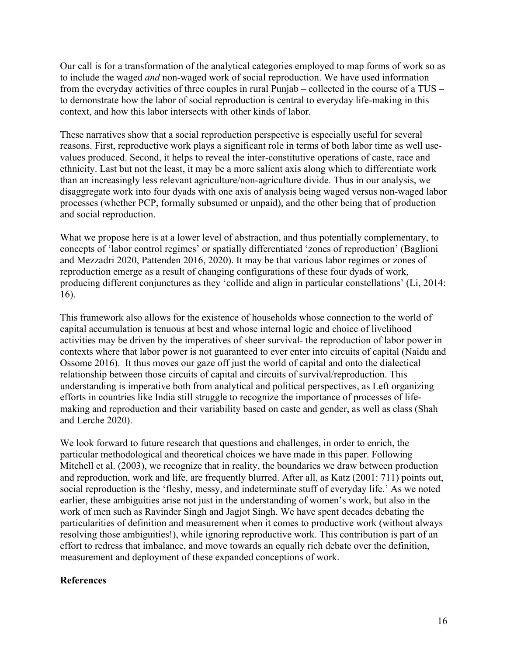Our call is for a transformation of the analytical categories employed to map forms of work so as to include the waged *and* non-waged work of social reproduction. We have used information from the everyday activities of three couples in rural Punjab – collected in the course of a TUS – to demonstrate how the labor of social reproduction is central to everyday life-making in this context, and how this labor intersects with other kinds of labor.

These narratives show that a social reproduction perspective is especially useful for several reasons. First, reproductive work plays a significant role in terms of both labor time as well usevalues produced. Second, it helps to reveal the inter-constitutive operations of caste, race and ethnicity. Last but not the least, it may be a more salient axis along which to differentiate work than an increasingly less relevant agriculture/non-agriculture divide. Thus in our analysis, we disaggregate work into four dyads with one axis of analysis being waged versus non-waged labor processes (whether PCP, formally subsumed or unpaid), and the other being that of production and social reproduction.

What we propose here is at a lower level of abstraction, and thus potentially complementary, to concepts of 'labor control regimes' or spatially differentiated 'zones of reproduction' (Baglioni and Mezzadri 2020, Pattenden 2016, 2020). It may be that various labor regimes or zones of reproduction emerge as a result of changing configurations of these four dyads of work, producing different conjunctures as they 'collide and align in particular constellations' (Li, 2014: 16).

This framework also allows for the existence of households whose connection to the world of capital accumulation is tenuous at best and whose internal logic and choice of livelihood activities may be driven by the imperatives of sheer survival- the reproduction of labor power in contexts where that labor power is not guaranteed to ever enter into circuits of capital (Naidu and Ossome 2016). It thus moves our gaze off just the world of capital and onto the dialectical relationship between those circuits of capital and circuits of survival/reproduction. This understanding is imperative both from analytical and political perspectives, as Left organizing efforts in countries like India still struggle to recognize the importance of processes of lifemaking and reproduction and their variability based on caste and gender, as well as class (Shah and Lerche 2020).

We look forward to future research that questions and challenges, in order to enrich, the particular methodological and theoretical choices we have made in this paper. Following Mitchell et al. (2003), we recognize that in reality, the boundaries we draw between production and reproduction, work and life, are frequently blurred. After all, as Katz (2001: 711) points out, social reproduction is the 'fleshy, messy, and indeterminate stuff of everyday life.' As we noted earlier, these ambiguities arise not just in the understanding of women's work, but also in the work of men such as Ravinder Singh and Jagjot Singh. We have spent decades debating the particularities of definition and measurement when it comes to productive work (without always resolving those ambiguities!), while ignoring reproductive work. This contribution is part of an effort to redress that imbalance, and move towards an equally rich debate over the definition, measurement and deployment of these expanded conceptions of work.

#### **References**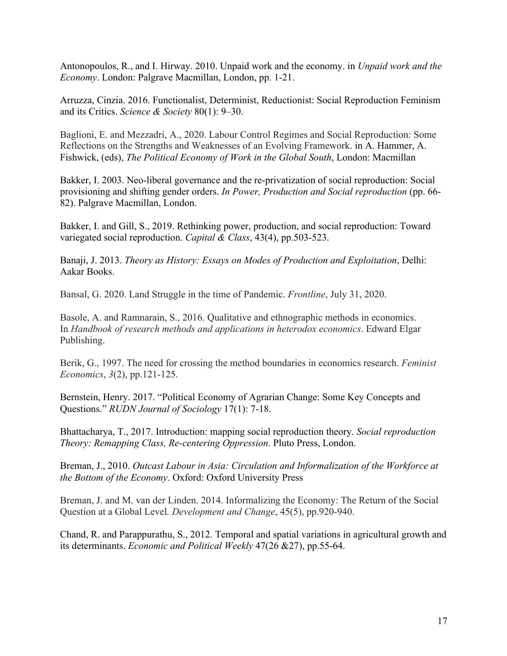Antonopoulos, R., and I. Hirway. 2010. Unpaid work and the economy. in *Unpaid work and the Economy*. London: Palgrave Macmillan, London, pp. 1-21.

Arruzza, Cinzia. 2016. Functionalist, Determinist, Reductionist: Social Reproduction Feminism and its Critics. *Science & Society* 80(1): 9–30.

Baglioni, E. and Mezzadri, A., 2020. Labour Control Regimes and Social Reproduction: Some Reflections on the Strengths and Weaknesses of an Evolving Framework. in A. Hammer, A. Fishwick, (eds), *The Political Economy of Work in the Global South*, London: Macmillan

Bakker, I. 2003. Neo-liberal governance and the re-privatization of social reproduction: Social provisioning and shifting gender orders. *In Power, Production and Social reproduction* (pp. 66- 82). Palgrave Macmillan, London.

Bakker, I. and Gill, S., 2019. Rethinking power, production, and social reproduction: Toward variegated social reproduction. *Capital & Class*, 43(4), pp.503-523.

Banaji, J. 2013. *Theory as History: Essays on Modes of Production and Exploitation*, Delhi: Aakar Books.

Bansal, G. 2020. Land Struggle in the time of Pandemic. *Frontline*, July 31, 2020.

Basole, A. and Ramnarain, S., 2016. Qualitative and ethnographic methods in economics. In *Handbook of research methods and applications in heterodox economics*. Edward Elgar Publishing.

Berik, G., 1997. The need for crossing the method boundaries in economics research. *Feminist Economics*, *3*(2), pp.121-125.

Bernstein, Henry. 2017. "Political Economy of Agrarian Change: Some Key Concepts and Questions." *RUDN Journal of Sociology* 17(1): 7-18.

Bhattacharya, T., 2017. Introduction: mapping social reproduction theory. *Social reproduction Theory: Remapping Class, Re-centering Oppression.* Pluto Press, London.

Breman, J., 2010. *Outcast Labour in Asia: Circulation and Informalization of the Workforce at the Bottom of the Economy*. Oxford: Oxford University Press

Breman, J. and M. van der Linden. 2014. Informalizing the Economy: The Return of the Social Question at a Global Level*. Development and Change*, 45(5), pp.920-940.

Chand, R. and Parappurathu, S., 2012. Temporal and spatial variations in agricultural growth and its determinants. *Economic and Political Weekly* 47(26 &27), pp.55-64.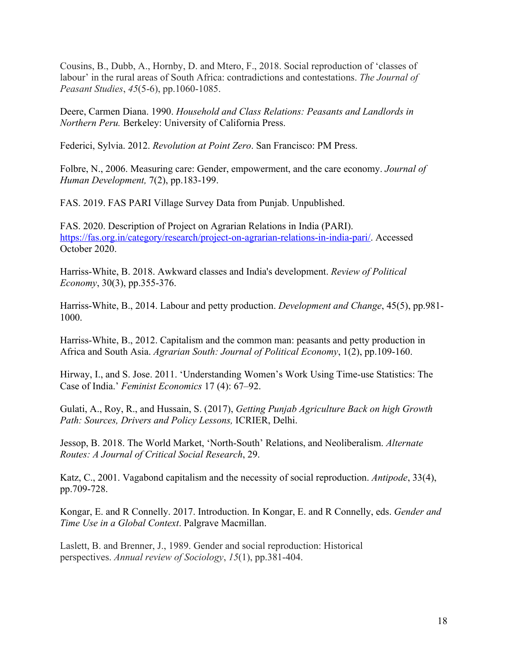Cousins, B., Dubb, A., Hornby, D. and Mtero, F., 2018. Social reproduction of 'classes of labour' in the rural areas of South Africa: contradictions and contestations. *The Journal of Peasant Studies*, *45*(5-6), pp.1060-1085.

Deere, Carmen Diana. 1990. *Household and Class Relations: Peasants and Landlords in Northern Peru.* Berkeley: University of California Press.

Federici, Sylvia. 2012. *Revolution at Point Zero*. San Francisco: PM Press.

Folbre, N., 2006. Measuring care: Gender, empowerment, and the care economy. *Journal of Human Development,* 7(2), pp.183-199.

FAS. 2019. FAS PARI Village Survey Data from Punjab. Unpublished.

FAS. 2020. Description of Project on Agrarian Relations in India (PARI). https://fas.org.in/category/research/project-on-agrarian-relations-in-india-pari/. Accessed October 2020.

Harriss-White, B. 2018. Awkward classes and India's development. *Review of Political Economy*, 30(3), pp.355-376.

Harriss‐White, B., 2014. Labour and petty production. *Development and Change*, 45(5), pp.981- 1000.

Harriss-White, B., 2012. Capitalism and the common man: peasants and petty production in Africa and South Asia. *Agrarian South: Journal of Political Economy*, 1(2), pp.109-160.

Hirway, I., and S. Jose. 2011. 'Understanding Women's Work Using Time-use Statistics: The Case of India.' *Feminist Economics* 17 (4): 67–92.

Gulati, A., Roy, R., and Hussain, S. (2017), *Getting Punjab Agriculture Back on high Growth Path: Sources, Drivers and Policy Lessons,* ICRIER, Delhi.

Jessop, B. 2018. The World Market, 'North-South' Relations, and Neoliberalism. *Alternate Routes: A Journal of Critical Social Research*, 29.

Katz, C., 2001. Vagabond capitalism and the necessity of social reproduction. *Antipode*, 33(4), pp.709-728.

Kongar, E. and R Connelly. 2017. Introduction. In Kongar, E. and R Connelly, eds. *Gender and Time Use in a Global Context*. Palgrave Macmillan.

Laslett, B. and Brenner, J., 1989. Gender and social reproduction: Historical perspectives. *Annual review of Sociology*, *15*(1), pp.381-404.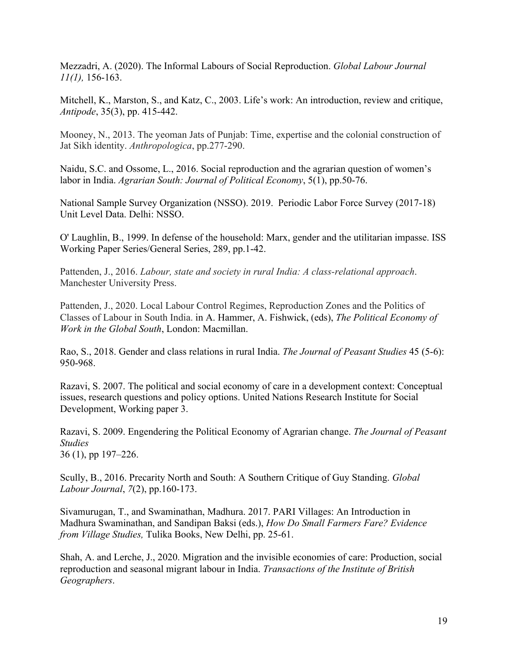Mezzadri, A. (2020). The Informal Labours of Social Reproduction. *Global Labour Journal 11(1),* 156-163.

Mitchell, K., Marston, S., and Katz, C., 2003. Life's work: An introduction, review and critique, *Antipode*, 35(3), pp. 415-442.

Mooney, N., 2013. The yeoman Jats of Punjab: Time, expertise and the colonial construction of Jat Sikh identity. *Anthropologica*, pp.277-290.

Naidu, S.C. and Ossome, L., 2016. Social reproduction and the agrarian question of women's labor in India. *Agrarian South: Journal of Political Economy*, 5(1), pp.50-76.

National Sample Survey Organization (NSSO). 2019. Periodic Labor Force Survey (2017-18) Unit Level Data. Delhi: NSSO.

O' Laughlin, B., 1999. In defense of the household: Marx, gender and the utilitarian impasse. ISS Working Paper Series/General Series, 289, pp.1-42.

Pattenden, J., 2016. *Labour, state and society in rural India: A class-relational approach*. Manchester University Press.

Pattenden, J., 2020. Local Labour Control Regimes, Reproduction Zones and the Politics of Classes of Labour in South India. in A. Hammer, A. Fishwick, (eds), *The Political Economy of Work in the Global South*, London: Macmillan.

Rao, S., 2018. Gender and class relations in rural India. *The Journal of Peasant Studies* 45 (5-6): 950-968.

Razavi, S. 2007. The political and social economy of care in a development context: Conceptual issues, research questions and policy options. United Nations Research Institute for Social Development, Working paper 3.

Razavi, S. 2009. Engendering the Political Economy of Agrarian change. *The Journal of Peasant Studies*

36 (1), pp 197–226.

Scully, B., 2016. Precarity North and South: A Southern Critique of Guy Standing. *Global Labour Journal*, *7*(2), pp.160-173.

Sivamurugan, T., and Swaminathan, Madhura. 2017. PARI Villages: An Introduction in Madhura Swaminathan, and Sandipan Baksi (eds.), *How Do Small Farmers Fare? Evidence from Village Studies,* Tulika Books, New Delhi, pp. 25-61.

Shah, A. and Lerche, J., 2020. Migration and the invisible economies of care: Production, social reproduction and seasonal migrant labour in India. *Transactions of the Institute of British Geographers*.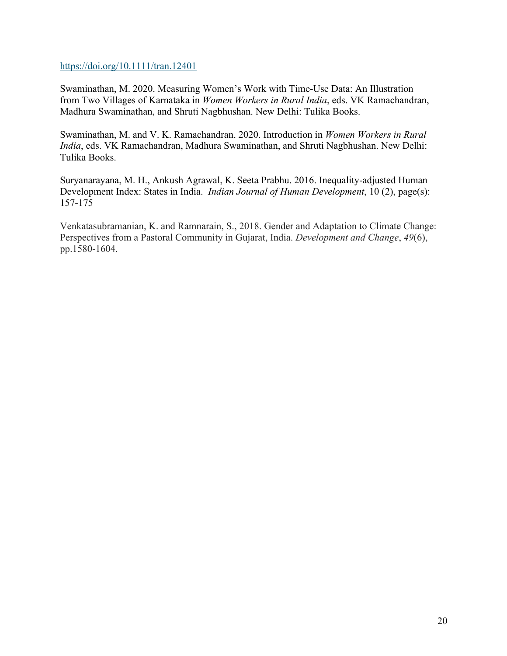https://doi.org/10.1111/tran.12401

Swaminathan, M. 2020. Measuring Women's Work with Time-Use Data: An Illustration from Two Villages of Karnataka in *Women Workers in Rural India*, eds. VK Ramachandran, Madhura Swaminathan, and Shruti Nagbhushan. New Delhi: Tulika Books.

Swaminathan, M. and V. K. Ramachandran. 2020. Introduction in *Women Workers in Rural India*, eds. VK Ramachandran, Madhura Swaminathan, and Shruti Nagbhushan. New Delhi: Tulika Books.

Suryanarayana, M. H., Ankush Agrawal, K. Seeta Prabhu. 2016. Inequality-adjusted Human Development Index: States in India. *Indian Journal of Human Development*, 10 (2), page(s): 157-175

Venkatasubramanian, K. and Ramnarain, S., 2018. Gender and Adaptation to Climate Change: Perspectives from a Pastoral Community in Gujarat, India. *Development and Change*, *49*(6), pp.1580-1604.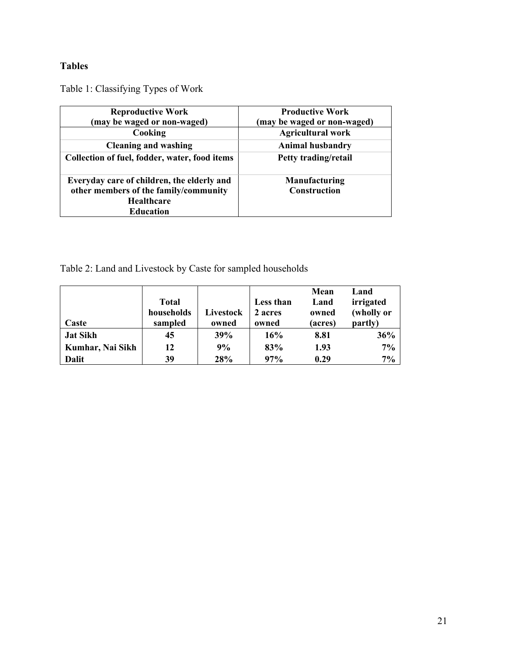## **Tables**

Table 1: Classifying Types of Work

| <b>Reproductive Work</b>                                                            | <b>Productive Work</b>               |
|-------------------------------------------------------------------------------------|--------------------------------------|
| (may be waged or non-waged)                                                         | (may be waged or non-waged)          |
| Cooking                                                                             | <b>Agricultural work</b>             |
| <b>Cleaning and washing</b>                                                         | <b>Animal husbandry</b>              |
| Collection of fuel, fodder, water, food items                                       | Petty trading/retail                 |
| Everyday care of children, the elderly and<br>other members of the family/community | Manufacturing<br><b>Construction</b> |
| <b>Healthcare</b>                                                                   |                                      |
| <b>Education</b>                                                                    |                                      |

Table 2: Land and Livestock by Caste for sampled households

|                  |              |           |           | Mean    | Land       |
|------------------|--------------|-----------|-----------|---------|------------|
|                  | <b>Total</b> |           | Less than | Land    | irrigated  |
|                  | households   | Livestock | 2 acres   | owned   | (wholly or |
| Caste            | sampled      | owned     | owned     | (acres) | partly)    |
| <b>Jat Sikh</b>  | 45           | 39%       | 16%       | 8.81    | 36%        |
| Kumhar, Nai Sikh | 12           | 9%        | 83%       | 1.93    | 7%         |
| Dalit            | 39           | 28%       | 97%       | 0.29    | 7%         |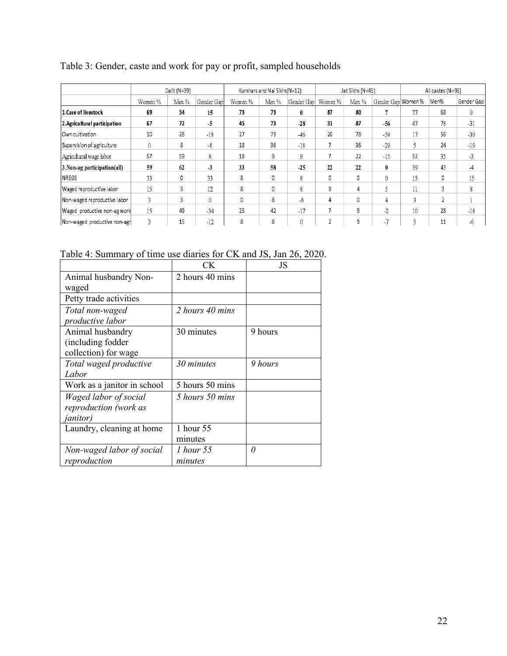|                               |                 | Dalit (N=39) |            |         | Kumhars and Nai Sikhs(N=12) |            |         | Jat Sikhs (N=45) |                    |    | All castes (N=96) |            |
|-------------------------------|-----------------|--------------|------------|---------|-----------------------------|------------|---------|------------------|--------------------|----|-------------------|------------|
|                               | Women %         | Men %        | Gender Gap | Women % | Men %                       | Gender Gap | Women % | Men %            | Gender Gap Women % |    | Men%              | Gender Gap |
| 1. Care of livestock          | 69              | 54           | 15         | 73      | 73                          | $\bf{0}$   | 87      | 80               |                    | 77 | 68                | 9          |
| 2. Agricultural participation | 67              | 72           | $-5$       | 45      | 73                          | $-28$      | 31      | 87               | $-56$              | 47 | 78                | $-31$      |
| Own cultivation               | 10 <sup>°</sup> | 28           | $-18$      | 27      | 73                          | $-46$      | 20      | 78               | $-58$              | 17 | 56                | $-39$      |
| Supervision of agriculture    | $\theta$        | 8            | $-8$       | 18      | 36                          | $-18$      |         | 36               | $-29$              |    | 24                | $-19$      |
| Agricultural wage labor       | 67              | 59           | 8          | 18      | 9                           | 9          |         | 22               | $-15$              | 32 | 35                | $-3$       |
| 3. Non-ag participation(all)  | 59              | 62           | $-3$       | 33      | 58                          | $-25$      | 22      | 22               | $\mathbf{0}$       | 39 | 43                | -4         |
| <b>NREGS</b>                  | 33              | 0            | 33         | 8       | 0                           | 8          | 0       | 0                | $\theta$           | 15 | 0                 | 15         |
| Waged reproductive labor      | 15              | 3            | 12         | 8       | 0                           | 8          | 9       | 4                | 5                  | 11 | 3                 | 8          |
| Non-waged reproductive labor  | 3               | 3            | 0          | 0       | 8                           | $-8$       | 4       | 0                | 4                  | 3  | 2                 |            |
| Waged productive non-ag work  | 15              | 49           | $-34$      | 25      | 42                          | $-17$      |         | 9                | $-2$               | 10 | 28                | $-18$      |
| Non-waged productive non-agr  | $\overline{3}$  | 15           | $-12$      | 8       | 8                           | $\theta$   |         | 9                | $-7$               |    | 11                | $-6$       |

## Table 3: Gender, caste and work for pay or profit, sampled households

Table 4: Summary of time use diaries for CK and JS, Jan 26, 2020.

|                             | СK              | JS      |
|-----------------------------|-----------------|---------|
| Animal husbandry Non-       | 2 hours 40 mins |         |
| waged                       |                 |         |
| Petty trade activities      |                 |         |
| Total non-waged             | 2 hours 40 mins |         |
| productive labor            |                 |         |
| Animal husbandry            | 30 minutes      | 9 hours |
| (including fodder           |                 |         |
| collection) for wage        |                 |         |
| Total waged productive      | 30 minutes      | 9 hours |
| Labor                       |                 |         |
| Work as a janitor in school | 5 hours 50 mins |         |
| Waged labor of social       | 5 hours 50 mins |         |
| reproduction (work as       |                 |         |
| <i>janitor</i> )            |                 |         |
| Laundry, cleaning at home   | 1 hour 55       |         |
|                             | minutes         |         |
| Non-waged labor of social   | 1 hour 55       | 0       |
| reproduction                | minutes         |         |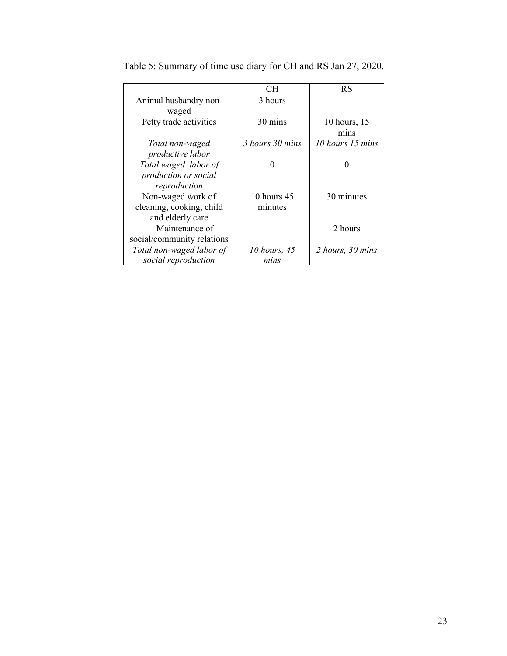|                            | CH.             | <b>RS</b>        |
|----------------------------|-----------------|------------------|
| Animal husbandry non-      | 3 hours         |                  |
| waged                      |                 |                  |
| Petty trade activities     | 30 mins         | 10 hours, 15     |
|                            |                 | mins             |
| Total non-waged            | 3 hours 30 mins | 10 hours 15 mins |
| productive labor           |                 |                  |
| Total waged labor of       | 0               | 0                |
| production or social       |                 |                  |
| reproduction               |                 |                  |
| Non-waged work of          | 10 hours 45     | 30 minutes       |
| cleaning, cooking, child   | minutes         |                  |
| and elderly care           |                 |                  |
| Maintenance of             |                 | 2 hours          |
| social/community relations |                 |                  |
| Total non-waged labor of   | 10 hours, 45    | 2 hours, 30 mins |
| social reproduction        | mins            |                  |

Table 5: Summary of time use diary for CH and RS Jan 27, 2020.